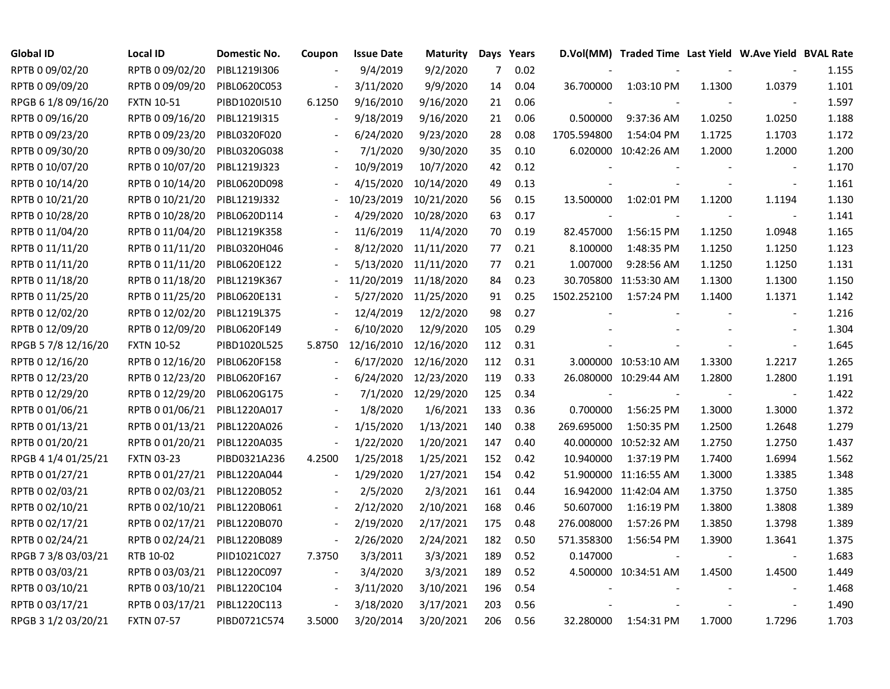| Global ID           | Local ID          | Domestic No. | Coupon | <b>Issue Date</b> | Maturity   |                | Days Years |             | D.Vol(MM) Traded Time Last Yield W.Ave Yield BVAL Rate |        |                          |       |
|---------------------|-------------------|--------------|--------|-------------------|------------|----------------|------------|-------------|--------------------------------------------------------|--------|--------------------------|-------|
| RPTB 0 09/02/20     | RPTB 0 09/02/20   | PIBL1219I306 |        | 9/4/2019          | 9/2/2020   | $\overline{7}$ | 0.02       |             |                                                        |        |                          | 1.155 |
| RPTB 0 09/09/20     | RPTB 0 09/09/20   | PIBL0620C053 |        | 3/11/2020         | 9/9/2020   | 14             | 0.04       | 36.700000   | 1:03:10 PM                                             | 1.1300 | 1.0379                   | 1.101 |
| RPGB 6 1/8 09/16/20 | <b>FXTN 10-51</b> | PIBD1020I510 | 6.1250 | 9/16/2010         | 9/16/2020  | 21             | 0.06       |             |                                                        |        |                          | 1.597 |
| RPTB 0 09/16/20     | RPTB 0 09/16/20   | PIBL1219I315 |        | 9/18/2019         | 9/16/2020  | 21             | 0.06       | 0.500000    | 9:37:36 AM                                             | 1.0250 | 1.0250                   | 1.188 |
| RPTB 0 09/23/20     | RPTB 0 09/23/20   | PIBL0320F020 |        | 6/24/2020         | 9/23/2020  | 28             | 0.08       | 1705.594800 | 1:54:04 PM                                             | 1.1725 | 1.1703                   | 1.172 |
| RPTB 0 09/30/20     | RPTB 0 09/30/20   | PIBL0320G038 |        | 7/1/2020          | 9/30/2020  | 35             | 0.10       |             | 6.020000 10:42:26 AM                                   | 1.2000 | 1.2000                   | 1.200 |
| RPTB 0 10/07/20     | RPTB 0 10/07/20   | PIBL1219J323 |        | 10/9/2019         | 10/7/2020  | 42             | 0.12       |             |                                                        |        | $\overline{\phantom{a}}$ | 1.170 |
| RPTB 0 10/14/20     | RPTB 0 10/14/20   | PIBL0620D098 |        | 4/15/2020         | 10/14/2020 | 49             | 0.13       |             |                                                        |        | $\overline{\phantom{a}}$ | 1.161 |
| RPTB 0 10/21/20     | RPTB 0 10/21/20   | PIBL1219J332 |        | 10/23/2019        | 10/21/2020 | 56             | 0.15       | 13.500000   | 1:02:01 PM                                             | 1.1200 | 1.1194                   | 1.130 |
| RPTB 0 10/28/20     | RPTB 0 10/28/20   | PIBL0620D114 |        | 4/29/2020         | 10/28/2020 | 63             | 0.17       |             |                                                        |        | $\overline{\phantom{a}}$ | 1.141 |
| RPTB 0 11/04/20     | RPTB 0 11/04/20   | PIBL1219K358 |        | 11/6/2019         | 11/4/2020  | 70             | 0.19       | 82.457000   | 1:56:15 PM                                             | 1.1250 | 1.0948                   | 1.165 |
| RPTB 0 11/11/20     | RPTB 0 11/11/20   | PIBL0320H046 |        | 8/12/2020         | 11/11/2020 | 77             | 0.21       | 8.100000    | 1:48:35 PM                                             | 1.1250 | 1.1250                   | 1.123 |
| RPTB 0 11/11/20     | RPTB 0 11/11/20   | PIBL0620E122 |        | 5/13/2020         | 11/11/2020 | 77             | 0.21       | 1.007000    | 9:28:56 AM                                             | 1.1250 | 1.1250                   | 1.131 |
| RPTB 0 11/18/20     | RPTB 0 11/18/20   | PIBL1219K367 |        | 11/20/2019        | 11/18/2020 | 84             | 0.23       |             | 30.705800 11:53:30 AM                                  | 1.1300 | 1.1300                   | 1.150 |
| RPTB 0 11/25/20     | RPTB 0 11/25/20   | PIBL0620E131 |        | 5/27/2020         | 11/25/2020 | 91             | 0.25       | 1502.252100 | 1:57:24 PM                                             | 1.1400 | 1.1371                   | 1.142 |
| RPTB 0 12/02/20     | RPTB 0 12/02/20   | PIBL1219L375 |        | 12/4/2019         | 12/2/2020  | 98             | 0.27       |             |                                                        |        |                          | 1.216 |
| RPTB 0 12/09/20     | RPTB 0 12/09/20   | PIBL0620F149 |        | 6/10/2020         | 12/9/2020  | 105            | 0.29       |             |                                                        |        |                          | 1.304 |
| RPGB 5 7/8 12/16/20 | <b>FXTN 10-52</b> | PIBD1020L525 | 5.8750 | 12/16/2010        | 12/16/2020 | 112            | 0.31       |             |                                                        |        | $\overline{\phantom{a}}$ | 1.645 |
| RPTB 0 12/16/20     | RPTB 0 12/16/20   | PIBL0620F158 |        | 6/17/2020         | 12/16/2020 | 112            | 0.31       |             | 3.000000 10:53:10 AM                                   | 1.3300 | 1.2217                   | 1.265 |
| RPTB 0 12/23/20     | RPTB 0 12/23/20   | PIBL0620F167 |        | 6/24/2020         | 12/23/2020 | 119            | 0.33       |             | 26.080000 10:29:44 AM                                  | 1.2800 | 1.2800                   | 1.191 |
| RPTB 0 12/29/20     | RPTB 0 12/29/20   | PIBL0620G175 |        | 7/1/2020          | 12/29/2020 | 125            | 0.34       |             |                                                        |        | $\sim$                   | 1.422 |
| RPTB 0 01/06/21     | RPTB 0 01/06/21   | PIBL1220A017 |        | 1/8/2020          | 1/6/2021   | 133            | 0.36       | 0.700000    | 1:56:25 PM                                             | 1.3000 | 1.3000                   | 1.372 |
| RPTB 0 01/13/21     | RPTB 0 01/13/21   | PIBL1220A026 |        | 1/15/2020         | 1/13/2021  | 140            | 0.38       | 269.695000  | 1:50:35 PM                                             | 1.2500 | 1.2648                   | 1.279 |
| RPTB 0 01/20/21     | RPTB 0 01/20/21   | PIBL1220A035 |        | 1/22/2020         | 1/20/2021  | 147            | 0.40       |             | 40.000000 10:52:32 AM                                  | 1.2750 | 1.2750                   | 1.437 |
| RPGB 4 1/4 01/25/21 | <b>FXTN 03-23</b> | PIBD0321A236 | 4.2500 | 1/25/2018         | 1/25/2021  | 152            | 0.42       | 10.940000   | 1:37:19 PM                                             | 1.7400 | 1.6994                   | 1.562 |
| RPTB 0 01/27/21     | RPTB 0 01/27/21   | PIBL1220A044 |        | 1/29/2020         | 1/27/2021  | 154            | 0.42       |             | 51.900000 11:16:55 AM                                  | 1.3000 | 1.3385                   | 1.348 |
| RPTB 0 02/03/21     | RPTB 0 02/03/21   | PIBL1220B052 |        | 2/5/2020          | 2/3/2021   | 161            | 0.44       |             | 16.942000 11:42:04 AM                                  | 1.3750 | 1.3750                   | 1.385 |
| RPTB 0 02/10/21     | RPTB 0 02/10/21   | PIBL1220B061 |        | 2/12/2020         | 2/10/2021  | 168            | 0.46       | 50.607000   | 1:16:19 PM                                             | 1.3800 | 1.3808                   | 1.389 |
| RPTB 0 02/17/21     | RPTB 0 02/17/21   | PIBL1220B070 |        | 2/19/2020         | 2/17/2021  | 175            | 0.48       | 276.008000  | 1:57:26 PM                                             | 1.3850 | 1.3798                   | 1.389 |
| RPTB 0 02/24/21     | RPTB 0 02/24/21   | PIBL1220B089 |        | 2/26/2020         | 2/24/2021  | 182            | 0.50       | 571.358300  | 1:56:54 PM                                             | 1.3900 | 1.3641                   | 1.375 |
| RPGB 7 3/8 03/03/21 | RTB 10-02         | PIID1021C027 | 7.3750 | 3/3/2011          | 3/3/2021   | 189            | 0.52       | 0.147000    |                                                        |        | $\blacksquare$           | 1.683 |
| RPTB 0 03/03/21     | RPTB 0 03/03/21   | PIBL1220C097 |        | 3/4/2020          | 3/3/2021   | 189            | 0.52       |             | 4.500000 10:34:51 AM                                   | 1.4500 | 1.4500                   | 1.449 |
| RPTB 0 03/10/21     | RPTB 0 03/10/21   | PIBL1220C104 |        | 3/11/2020         | 3/10/2021  | 196            | 0.54       |             |                                                        |        |                          | 1.468 |
| RPTB 0 03/17/21     | RPTB 0 03/17/21   | PIBL1220C113 |        | 3/18/2020         | 3/17/2021  | 203            | 0.56       |             |                                                        |        | $\blacksquare$           | 1.490 |
| RPGB 3 1/2 03/20/21 | <b>FXTN 07-57</b> | PIBD0721C574 | 3.5000 | 3/20/2014         | 3/20/2021  | 206            | 0.56       | 32.280000   | 1:54:31 PM                                             | 1.7000 | 1.7296                   | 1.703 |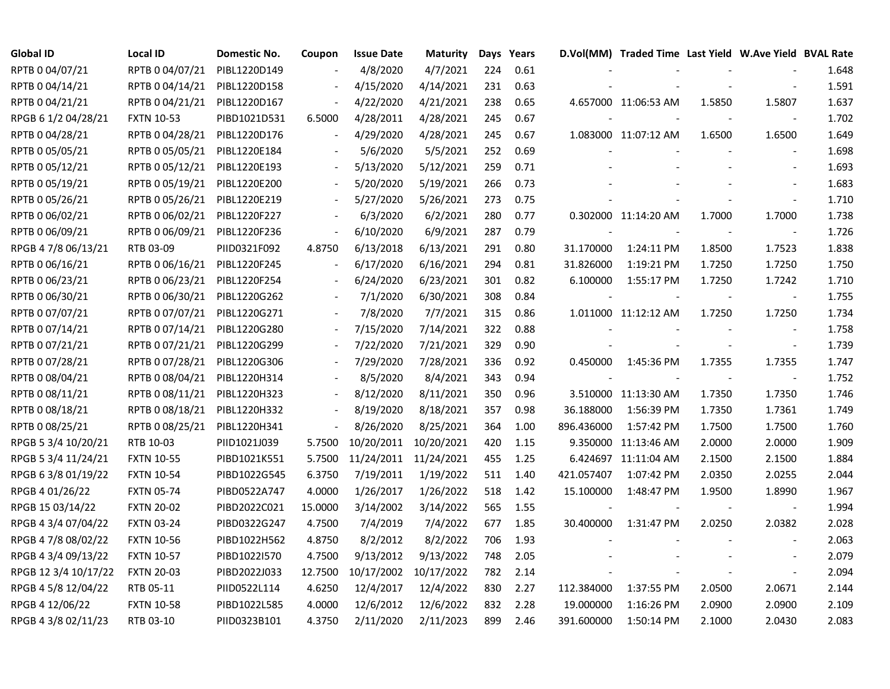| Global ID            | Local ID          | Domestic No. | Coupon                   | <b>Issue Date</b> | <b>Maturity</b> |     | Days Years |            | D.Vol(MM) Traded Time Last Yield W.Ave Yield BVAL Rate |                          |                          |       |
|----------------------|-------------------|--------------|--------------------------|-------------------|-----------------|-----|------------|------------|--------------------------------------------------------|--------------------------|--------------------------|-------|
| RPTB 0 04/07/21      | RPTB 0 04/07/21   | PIBL1220D149 |                          | 4/8/2020          | 4/7/2021        | 224 | 0.61       |            |                                                        |                          |                          | 1.648 |
| RPTB 0 04/14/21      | RPTB 0 04/14/21   | PIBL1220D158 |                          | 4/15/2020         | 4/14/2021       | 231 | 0.63       |            |                                                        |                          |                          | 1.591 |
| RPTB 0 04/21/21      | RPTB 0 04/21/21   | PIBL1220D167 |                          | 4/22/2020         | 4/21/2021       | 238 | 0.65       |            | 4.657000 11:06:53 AM                                   | 1.5850                   | 1.5807                   | 1.637 |
| RPGB 6 1/2 04/28/21  | <b>FXTN 10-53</b> | PIBD1021D531 | 6.5000                   | 4/28/2011         | 4/28/2021       | 245 | 0.67       |            |                                                        |                          |                          | 1.702 |
| RPTB 0 04/28/21      | RPTB 0 04/28/21   | PIBL1220D176 |                          | 4/29/2020         | 4/28/2021       | 245 | 0.67       |            | 1.083000 11:07:12 AM                                   | 1.6500                   | 1.6500                   | 1.649 |
| RPTB 0 05/05/21      | RPTB 0 05/05/21   | PIBL1220E184 |                          | 5/6/2020          | 5/5/2021        | 252 | 0.69       |            |                                                        |                          | $\overline{\phantom{a}}$ | 1.698 |
| RPTB 0 05/12/21      | RPTB 0 05/12/21   | PIBL1220E193 |                          | 5/13/2020         | 5/12/2021       | 259 | 0.71       |            |                                                        |                          | $\blacksquare$           | 1.693 |
| RPTB 0 05/19/21      | RPTB 0 05/19/21   | PIBL1220E200 |                          | 5/20/2020         | 5/19/2021       | 266 | 0.73       |            |                                                        |                          |                          | 1.683 |
| RPTB 0 05/26/21      | RPTB 0 05/26/21   | PIBL1220E219 |                          | 5/27/2020         | 5/26/2021       | 273 | 0.75       |            |                                                        |                          | $\blacksquare$           | 1.710 |
| RPTB 0 06/02/21      | RPTB 0 06/02/21   | PIBL1220F227 |                          | 6/3/2020          | 6/2/2021        | 280 | 0.77       |            | 0.302000 11:14:20 AM                                   | 1.7000                   | 1.7000                   | 1.738 |
| RPTB 0 06/09/21      | RPTB 0 06/09/21   | PIBL1220F236 |                          | 6/10/2020         | 6/9/2021        | 287 | 0.79       |            |                                                        |                          | $\sim$                   | 1.726 |
| RPGB 4 7/8 06/13/21  | RTB 03-09         | PIID0321F092 | 4.8750                   | 6/13/2018         | 6/13/2021       | 291 | 0.80       | 31.170000  | 1:24:11 PM                                             | 1.8500                   | 1.7523                   | 1.838 |
| RPTB 0 06/16/21      | RPTB 0 06/16/21   | PIBL1220F245 |                          | 6/17/2020         | 6/16/2021       | 294 | 0.81       | 31.826000  | 1:19:21 PM                                             | 1.7250                   | 1.7250                   | 1.750 |
| RPTB 0 06/23/21      | RPTB 0 06/23/21   | PIBL1220F254 |                          | 6/24/2020         | 6/23/2021       | 301 | 0.82       | 6.100000   | 1:55:17 PM                                             | 1.7250                   | 1.7242                   | 1.710 |
| RPTB 0 06/30/21      | RPTB 0 06/30/21   | PIBL1220G262 |                          | 7/1/2020          | 6/30/2021       | 308 | 0.84       |            |                                                        |                          | $\overline{\phantom{a}}$ | 1.755 |
| RPTB 0 07/07/21      | RPTB 0 07/07/21   | PIBL1220G271 |                          | 7/8/2020          | 7/7/2021        | 315 | 0.86       |            | 1.011000 11:12:12 AM                                   | 1.7250                   | 1.7250                   | 1.734 |
| RPTB 0 07/14/21      | RPTB 0 07/14/21   | PIBL1220G280 |                          | 7/15/2020         | 7/14/2021       | 322 | 0.88       |            |                                                        |                          | $\overline{\phantom{a}}$ | 1.758 |
| RPTB 0 07/21/21      | RPTB 0 07/21/21   | PIBL1220G299 |                          | 7/22/2020         | 7/21/2021       | 329 | 0.90       |            |                                                        |                          | $\overline{\phantom{a}}$ | 1.739 |
| RPTB 0 07/28/21      | RPTB 0 07/28/21   | PIBL1220G306 |                          | 7/29/2020         | 7/28/2021       | 336 | 0.92       | 0.450000   | 1:45:36 PM                                             | 1.7355                   | 1.7355                   | 1.747 |
| RPTB 0 08/04/21      | RPTB 0 08/04/21   | PIBL1220H314 |                          | 8/5/2020          | 8/4/2021        | 343 | 0.94       |            |                                                        | $\overline{\phantom{a}}$ | $\blacksquare$           | 1.752 |
| RPTB 0 08/11/21      | RPTB 0 08/11/21   | PIBL1220H323 |                          | 8/12/2020         | 8/11/2021       | 350 | 0.96       |            | 3.510000 11:13:30 AM                                   | 1.7350                   | 1.7350                   | 1.746 |
| RPTB 0 08/18/21      | RPTB 0 08/18/21   | PIBL1220H332 | $\blacksquare$           | 8/19/2020         | 8/18/2021       | 357 | 0.98       | 36.188000  | 1:56:39 PM                                             | 1.7350                   | 1.7361                   | 1.749 |
| RPTB 0 08/25/21      | RPTB 0 08/25/21   | PIBL1220H341 | $\overline{\phantom{a}}$ | 8/26/2020         | 8/25/2021       | 364 | 1.00       | 896.436000 | 1:57:42 PM                                             | 1.7500                   | 1.7500                   | 1.760 |
| RPGB 5 3/4 10/20/21  | RTB 10-03         | PIID1021J039 | 5.7500                   | 10/20/2011        | 10/20/2021      | 420 | 1.15       |            | 9.350000 11:13:46 AM                                   | 2.0000                   | 2.0000                   | 1.909 |
| RPGB 5 3/4 11/24/21  | <b>FXTN 10-55</b> | PIBD1021K551 | 5.7500                   | 11/24/2011        | 11/24/2021      | 455 | 1.25       |            | 6.424697 11:11:04 AM                                   | 2.1500                   | 2.1500                   | 1.884 |
| RPGB 63/8 01/19/22   | <b>FXTN 10-54</b> | PIBD1022G545 | 6.3750                   | 7/19/2011         | 1/19/2022       | 511 | 1.40       | 421.057407 | 1:07:42 PM                                             | 2.0350                   | 2.0255                   | 2.044 |
| RPGB 4 01/26/22      | <b>FXTN 05-74</b> | PIBD0522A747 | 4.0000                   | 1/26/2017         | 1/26/2022       | 518 | 1.42       | 15.100000  | 1:48:47 PM                                             | 1.9500                   | 1.8990                   | 1.967 |
| RPGB 15 03/14/22     | <b>FXTN 20-02</b> | PIBD2022C021 | 15.0000                  | 3/14/2002         | 3/14/2022       | 565 | 1.55       |            |                                                        |                          |                          | 1.994 |
| RPGB 4 3/4 07/04/22  | <b>FXTN 03-24</b> | PIBD0322G247 | 4.7500                   | 7/4/2019          | 7/4/2022        | 677 | 1.85       | 30.400000  | 1:31:47 PM                                             | 2.0250                   | 2.0382                   | 2.028 |
| RPGB 4 7/8 08/02/22  | <b>FXTN 10-56</b> | PIBD1022H562 | 4.8750                   | 8/2/2012          | 8/2/2022        | 706 | 1.93       |            |                                                        |                          |                          | 2.063 |
| RPGB 4 3/4 09/13/22  | <b>FXTN 10-57</b> | PIBD1022I570 | 4.7500                   | 9/13/2012         | 9/13/2022       | 748 | 2.05       |            |                                                        |                          | $\blacksquare$           | 2.079 |
| RPGB 12 3/4 10/17/22 | <b>FXTN 20-03</b> | PIBD2022J033 | 12.7500                  | 10/17/2002        | 10/17/2022      | 782 | 2.14       |            |                                                        |                          | $\overline{\phantom{a}}$ | 2.094 |
| RPGB 4 5/8 12/04/22  | RTB 05-11         | PIID0522L114 | 4.6250                   | 12/4/2017         | 12/4/2022       | 830 | 2.27       | 112.384000 | 1:37:55 PM                                             | 2.0500                   | 2.0671                   | 2.144 |
| RPGB 4 12/06/22      | <b>FXTN 10-58</b> | PIBD1022L585 | 4.0000                   | 12/6/2012         | 12/6/2022       | 832 | 2.28       | 19.000000  | 1:16:26 PM                                             | 2.0900                   | 2.0900                   | 2.109 |
| RPGB 4 3/8 02/11/23  | RTB 03-10         | PIID0323B101 | 4.3750                   | 2/11/2020         | 2/11/2023       | 899 | 2.46       | 391.600000 | 1:50:14 PM                                             | 2.1000                   | 2.0430                   | 2.083 |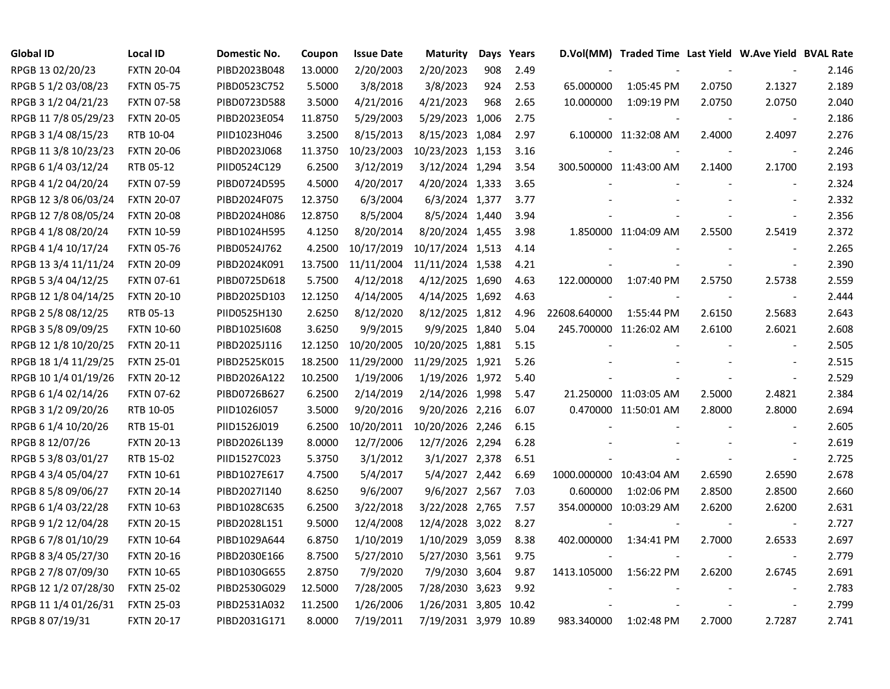| <b>Global ID</b>     | <b>Local ID</b>   | Domestic No. | Coupon  | <b>Issue Date</b> | <b>Maturity</b>       |     | Days Years |                         | D.Vol(MM) Traded Time Last Yield W.Ave Yield BVAL Rate |        |                          |       |
|----------------------|-------------------|--------------|---------|-------------------|-----------------------|-----|------------|-------------------------|--------------------------------------------------------|--------|--------------------------|-------|
| RPGB 13 02/20/23     | <b>FXTN 20-04</b> | PIBD2023B048 | 13.0000 | 2/20/2003         | 2/20/2023             | 908 | 2.49       |                         |                                                        |        |                          | 2.146 |
| RPGB 5 1/2 03/08/23  | <b>FXTN 05-75</b> | PIBD0523C752 | 5.5000  | 3/8/2018          | 3/8/2023              | 924 | 2.53       | 65.000000               | 1:05:45 PM                                             | 2.0750 | 2.1327                   | 2.189 |
| RPGB 3 1/2 04/21/23  | <b>FXTN 07-58</b> | PIBD0723D588 | 3.5000  | 4/21/2016         | 4/21/2023             | 968 | 2.65       | 10.000000               | 1:09:19 PM                                             | 2.0750 | 2.0750                   | 2.040 |
| RPGB 11 7/8 05/29/23 | <b>FXTN 20-05</b> | PIBD2023E054 | 11.8750 | 5/29/2003         | 5/29/2023 1,006       |     | 2.75       |                         |                                                        |        | $\blacksquare$           | 2.186 |
| RPGB 3 1/4 08/15/23  | RTB 10-04         | PIID1023H046 | 3.2500  | 8/15/2013         | 8/15/2023 1,084       |     | 2.97       |                         | 6.100000 11:32:08 AM                                   | 2.4000 | 2.4097                   | 2.276 |
| RPGB 11 3/8 10/23/23 | <b>FXTN 20-06</b> | PIBD2023J068 | 11.3750 | 10/23/2003        | 10/23/2023 1,153      |     | 3.16       |                         |                                                        |        | $\blacksquare$           | 2.246 |
| RPGB 6 1/4 03/12/24  | RTB 05-12         | PIID0524C129 | 6.2500  | 3/12/2019         | 3/12/2024 1,294       |     | 3.54       |                         | 300.500000 11:43:00 AM                                 | 2.1400 | 2.1700                   | 2.193 |
| RPGB 4 1/2 04/20/24  | <b>FXTN 07-59</b> | PIBD0724D595 | 4.5000  | 4/20/2017         | 4/20/2024 1,333       |     | 3.65       |                         |                                                        |        | $\overline{\phantom{a}}$ | 2.324 |
| RPGB 12 3/8 06/03/24 | <b>FXTN 20-07</b> | PIBD2024F075 | 12.3750 | 6/3/2004          | 6/3/2024 1,377        |     | 3.77       |                         |                                                        |        | $\blacksquare$           | 2.332 |
| RPGB 12 7/8 08/05/24 | <b>FXTN 20-08</b> | PIBD2024H086 | 12.8750 | 8/5/2004          | 8/5/2024 1,440        |     | 3.94       |                         |                                                        |        | $\overline{a}$           | 2.356 |
| RPGB 4 1/8 08/20/24  | <b>FXTN 10-59</b> | PIBD1024H595 | 4.1250  | 8/20/2014         | 8/20/2024 1,455       |     | 3.98       |                         | 1.850000 11:04:09 AM                                   | 2.5500 | 2.5419                   | 2.372 |
| RPGB 4 1/4 10/17/24  | <b>FXTN 05-76</b> | PIBD0524J762 | 4.2500  | 10/17/2019        | 10/17/2024 1,513      |     | 4.14       |                         |                                                        |        | $\blacksquare$           | 2.265 |
| RPGB 13 3/4 11/11/24 | <b>FXTN 20-09</b> | PIBD2024K091 | 13.7500 | 11/11/2004        | 11/11/2024 1,538      |     | 4.21       |                         |                                                        |        | $\blacksquare$           | 2.390 |
| RPGB 5 3/4 04/12/25  | <b>FXTN 07-61</b> | PIBD0725D618 | 5.7500  | 4/12/2018         | 4/12/2025 1,690       |     | 4.63       | 122.000000              | 1:07:40 PM                                             | 2.5750 | 2.5738                   | 2.559 |
| RPGB 12 1/8 04/14/25 | <b>FXTN 20-10</b> | PIBD2025D103 | 12.1250 | 4/14/2005         | 4/14/2025 1,692       |     | 4.63       |                         |                                                        |        | $\sim$                   | 2.444 |
| RPGB 2 5/8 08/12/25  | RTB 05-13         | PIID0525H130 | 2.6250  | 8/12/2020         | 8/12/2025 1,812       |     | 4.96       | 22608.640000            | 1:55:44 PM                                             | 2.6150 | 2.5683                   | 2.643 |
| RPGB 3 5/8 09/09/25  | <b>FXTN 10-60</b> | PIBD1025I608 | 3.6250  | 9/9/2015          | 9/9/2025 1,840        |     | 5.04       |                         | 245.700000 11:26:02 AM                                 | 2.6100 | 2.6021                   | 2.608 |
| RPGB 12 1/8 10/20/25 | <b>FXTN 20-11</b> | PIBD2025J116 | 12.1250 | 10/20/2005        | 10/20/2025 1,881      |     | 5.15       |                         |                                                        |        | $\blacksquare$           | 2.505 |
| RPGB 18 1/4 11/29/25 | <b>FXTN 25-01</b> | PIBD2525K015 | 18.2500 | 11/29/2000        | 11/29/2025 1,921      |     | 5.26       |                         |                                                        |        | $\overline{a}$           | 2.515 |
| RPGB 10 1/4 01/19/26 | <b>FXTN 20-12</b> | PIBD2026A122 | 10.2500 | 1/19/2006         | 1/19/2026 1,972       |     | 5.40       |                         |                                                        |        | $\blacksquare$           | 2.529 |
| RPGB 6 1/4 02/14/26  | <b>FXTN 07-62</b> | PIBD0726B627 | 6.2500  | 2/14/2019         | 2/14/2026 1,998       |     | 5.47       |                         | 21.250000 11:03:05 AM                                  | 2.5000 | 2.4821                   | 2.384 |
| RPGB 3 1/2 09/20/26  | RTB 10-05         | PIID1026I057 | 3.5000  | 9/20/2016         | 9/20/2026 2,216       |     | 6.07       |                         | 0.470000 11:50:01 AM                                   | 2.8000 | 2.8000                   | 2.694 |
| RPGB 6 1/4 10/20/26  | RTB 15-01         | PIID1526J019 | 6.2500  | 10/20/2011        | 10/20/2026 2,246      |     | 6.15       |                         |                                                        |        | $\blacksquare$           | 2.605 |
| RPGB 8 12/07/26      | <b>FXTN 20-13</b> | PIBD2026L139 | 8.0000  | 12/7/2006         | 12/7/2026 2,294       |     | 6.28       |                         |                                                        |        | $\blacksquare$           | 2.619 |
| RPGB 5 3/8 03/01/27  | RTB 15-02         | PIID1527C023 | 5.3750  | 3/1/2012          | 3/1/2027 2,378        |     | 6.51       |                         |                                                        |        | $\blacksquare$           | 2.725 |
| RPGB 4 3/4 05/04/27  | <b>FXTN 10-61</b> | PIBD1027E617 | 4.7500  | 5/4/2017          | 5/4/2027 2,442        |     | 6.69       | 1000.000000 10:43:04 AM |                                                        | 2.6590 | 2.6590                   | 2.678 |
| RPGB 8 5/8 09/06/27  | <b>FXTN 20-14</b> | PIBD2027I140 | 8.6250  | 9/6/2007          | 9/6/2027 2,567        |     | 7.03       | 0.600000                | 1:02:06 PM                                             | 2.8500 | 2.8500                   | 2.660 |
| RPGB 6 1/4 03/22/28  | <b>FXTN 10-63</b> | PIBD1028C635 | 6.2500  | 3/22/2018         | 3/22/2028 2,765       |     | 7.57       |                         | 354.000000 10:03:29 AM                                 | 2.6200 | 2.6200                   | 2.631 |
| RPGB 9 1/2 12/04/28  | <b>FXTN 20-15</b> | PIBD2028L151 | 9.5000  | 12/4/2008         | 12/4/2028 3,022       |     | 8.27       |                         |                                                        |        |                          | 2.727 |
| RPGB 6 7/8 01/10/29  | <b>FXTN 10-64</b> | PIBD1029A644 | 6.8750  | 1/10/2019         | 1/10/2029 3,059       |     | 8.38       | 402.000000              | 1:34:41 PM                                             | 2.7000 | 2.6533                   | 2.697 |
| RPGB 8 3/4 05/27/30  | <b>FXTN 20-16</b> | PIBD2030E166 | 8.7500  | 5/27/2010         | 5/27/2030 3,561       |     | 9.75       |                         |                                                        |        | $\blacksquare$           | 2.779 |
| RPGB 2 7/8 07/09/30  | <b>FXTN 10-65</b> | PIBD1030G655 | 2.8750  | 7/9/2020          | 7/9/2030 3,604        |     | 9.87       | 1413.105000             | 1:56:22 PM                                             | 2.6200 | 2.6745                   | 2.691 |
| RPGB 12 1/2 07/28/30 | <b>FXTN 25-02</b> | PIBD2530G029 | 12.5000 | 7/28/2005         | 7/28/2030 3,623       |     | 9.92       |                         |                                                        |        | $\overline{\phantom{a}}$ | 2.783 |
| RPGB 11 1/4 01/26/31 | <b>FXTN 25-03</b> | PIBD2531A032 | 11.2500 | 1/26/2006         | 1/26/2031 3,805 10.42 |     |            |                         |                                                        |        | $\blacksquare$           | 2.799 |
| RPGB 8 07/19/31      | <b>FXTN 20-17</b> | PIBD2031G171 | 8.0000  | 7/19/2011         | 7/19/2031 3,979 10.89 |     |            | 983.340000              | 1:02:48 PM                                             | 2.7000 | 2.7287                   | 2.741 |